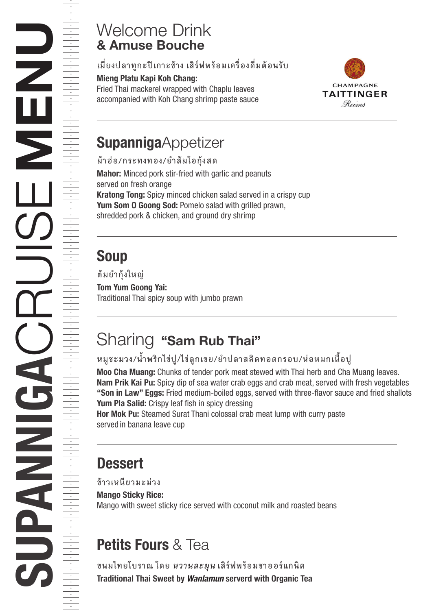#### & Amuse Bouche Welcome Drink

#### **เมี่ยงปลาทูกะปเกาะชาง เสิรฟพรอมเครื่องดื่มตอนรับ**

#### Mieng Platu Kapi Koh Chang:

Fried Thai mackerel wrapped with Chaplu leaves accompanied with Koh Chang shrimp paste sauce



## **SupannigaAppetizer**

Mahor: Minced pork stir-fried with garlic and peanuts served on fresh orange Kratong Tong: Spicy minced chicken salad served in a crispy cup Yum Som 0 Goong Sod: Pomelo salad with grilled prawn, shredded pork & chicken, and ground dry shrimp **มาฮอ/กระทงทอง/ยำสมโอกุงสด**

### Soup

Tom Yum Goong Yai: Traditional Thai spicy soup with jumbo prawn **ตมยำกุงใหญ**

## Sharing "Sam Rub Thai"

#### **หมูชะมวง/น้ำพริกไขปู/ไขลูกเขย/ยำปลาสลิดทอดกรอบ/หอหมกเนื้อปู**

Moo Cha Muang: Chunks of tender pork meat stewed with Thai herb and Cha Muang leaves. Nam Prik Kai Pu: Spicy dip of sea water crab eggs and crab meat, served with fresh vegetables "Son in Law" Eggs: Fried medium-boiled eggs, served with three-flavor sauce and fried shallots Yum Pla Salid: Crispy leaf fish in spicy dressing

Hor Mok Pu: Steamed Surat Thani colossal crab meat lump with curry paste served in banana leave cup

## **Dessert**

**ขาวเหนียวมะมวง**

Mango Sticky Rice:

Mango with sweet sticky rice served with coconut milk and roasted beans

# Petits Fours & Tea

Traditional Thai Sweet by *Wanlamun* serverd with Organic Tea **ขนมไทยโบราณ โดย** *หวานละมุน* **เสิรฟพรอมชาออรแกนิค**